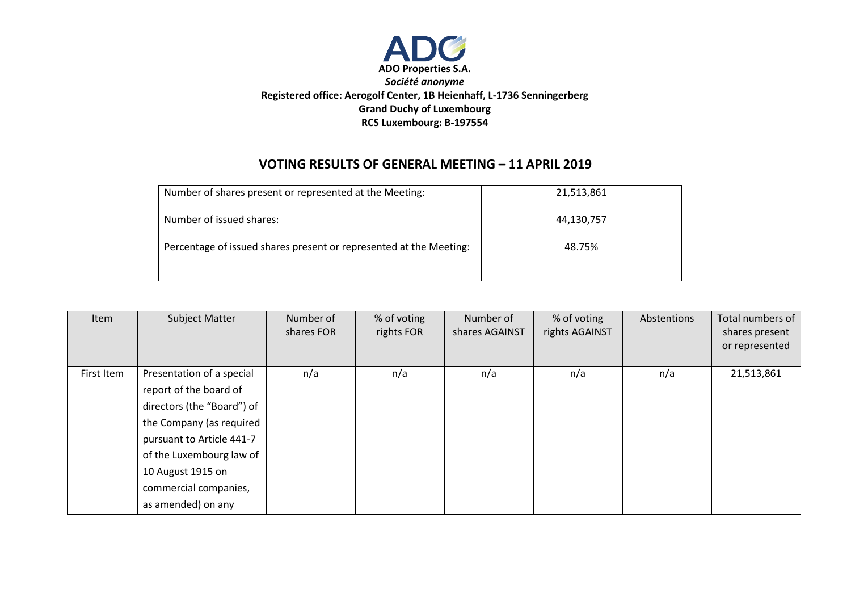

## **VOTING RESULTS OF GENERAL MEETING – 11 APRIL 2019**

| Number of shares present or represented at the Meeting:            | 21,513,861 |
|--------------------------------------------------------------------|------------|
| Number of issued shares:                                           | 44,130,757 |
| Percentage of issued shares present or represented at the Meeting: | 48.75%     |
|                                                                    |            |

| <b>Item</b> | Subject Matter                                                                                                                                                                                                                             | Number of<br>shares FOR | % of voting<br>rights FOR | Number of<br>shares AGAINST | % of voting<br>rights AGAINST | Abstentions | Total numbers of<br>shares present<br>or represented |
|-------------|--------------------------------------------------------------------------------------------------------------------------------------------------------------------------------------------------------------------------------------------|-------------------------|---------------------------|-----------------------------|-------------------------------|-------------|------------------------------------------------------|
| First Item  | Presentation of a special<br>report of the board of<br>directors (the "Board") of<br>the Company (as required<br>pursuant to Article 441-7<br>of the Luxembourg law of<br>10 August 1915 on<br>commercial companies,<br>as amended) on any | n/a                     | n/a                       | n/a                         | n/a                           | n/a         | 21,513,861                                           |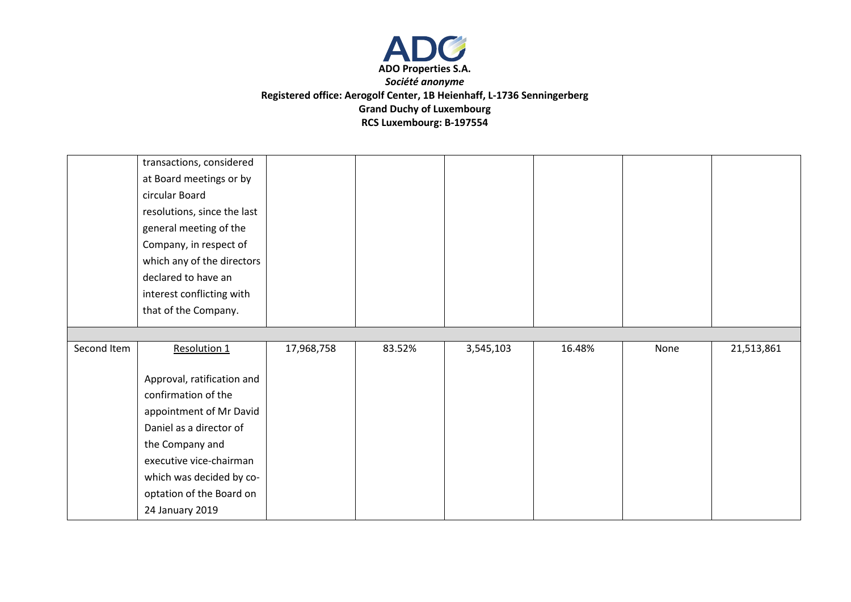

|             | transactions, considered    |            |        |           |        |      |            |
|-------------|-----------------------------|------------|--------|-----------|--------|------|------------|
|             | at Board meetings or by     |            |        |           |        |      |            |
|             | circular Board              |            |        |           |        |      |            |
|             | resolutions, since the last |            |        |           |        |      |            |
|             | general meeting of the      |            |        |           |        |      |            |
|             | Company, in respect of      |            |        |           |        |      |            |
|             | which any of the directors  |            |        |           |        |      |            |
|             | declared to have an         |            |        |           |        |      |            |
|             | interest conflicting with   |            |        |           |        |      |            |
|             | that of the Company.        |            |        |           |        |      |            |
|             |                             |            |        |           |        |      |            |
|             |                             |            |        |           |        |      |            |
| Second Item | Resolution 1                | 17,968,758 | 83.52% | 3,545,103 | 16.48% | None | 21,513,861 |
|             |                             |            |        |           |        |      |            |
|             | Approval, ratification and  |            |        |           |        |      |            |
|             | confirmation of the         |            |        |           |        |      |            |
|             | appointment of Mr David     |            |        |           |        |      |            |
|             | Daniel as a director of     |            |        |           |        |      |            |
|             | the Company and             |            |        |           |        |      |            |
|             | executive vice-chairman     |            |        |           |        |      |            |
|             | which was decided by co-    |            |        |           |        |      |            |
|             | optation of the Board on    |            |        |           |        |      |            |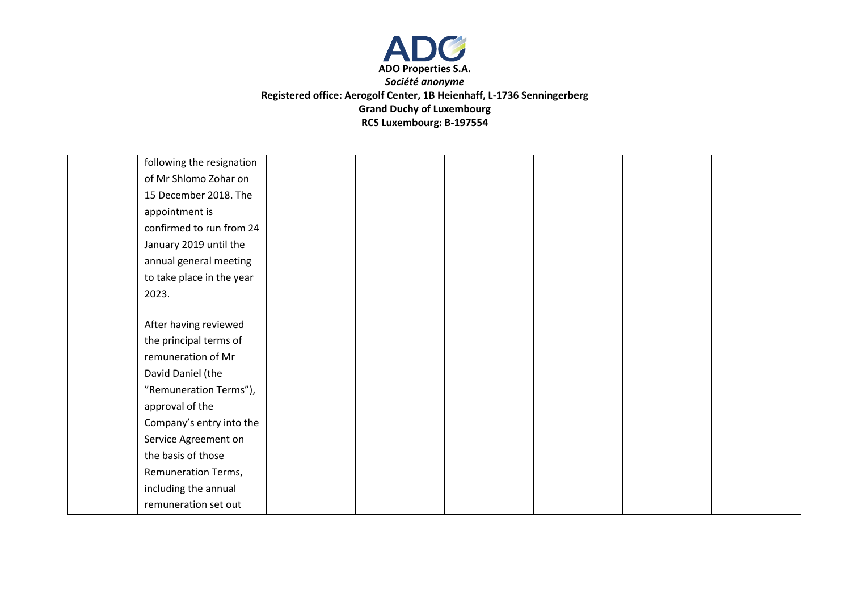

| following the resignation |  |  |  |
|---------------------------|--|--|--|
| of Mr Shlomo Zohar on     |  |  |  |
| 15 December 2018. The     |  |  |  |
| appointment is            |  |  |  |
| confirmed to run from 24  |  |  |  |
| January 2019 until the    |  |  |  |
| annual general meeting    |  |  |  |
| to take place in the year |  |  |  |
| 2023.                     |  |  |  |
|                           |  |  |  |
| After having reviewed     |  |  |  |
| the principal terms of    |  |  |  |
| remuneration of Mr        |  |  |  |
| David Daniel (the         |  |  |  |
| "Remuneration Terms"),    |  |  |  |
| approval of the           |  |  |  |
| Company's entry into the  |  |  |  |
| Service Agreement on      |  |  |  |
| the basis of those        |  |  |  |
| Remuneration Terms,       |  |  |  |
| including the annual      |  |  |  |
| remuneration set out      |  |  |  |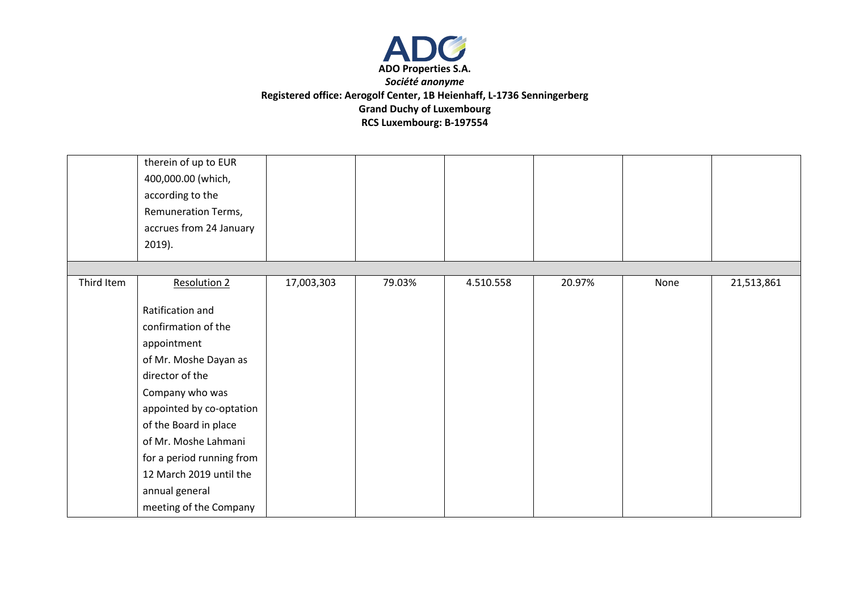

|            | therein of up to EUR<br>400,000.00 (which,<br>according to the<br>Remuneration Terms, |            |        |           |        |      |            |
|------------|---------------------------------------------------------------------------------------|------------|--------|-----------|--------|------|------------|
|            | accrues from 24 January<br>$2019$ ).                                                  |            |        |           |        |      |            |
|            |                                                                                       |            |        |           |        |      |            |
| Third Item | <b>Resolution 2</b>                                                                   | 17,003,303 | 79.03% | 4.510.558 | 20.97% | None | 21,513,861 |
|            | Ratification and                                                                      |            |        |           |        |      |            |
|            | confirmation of the                                                                   |            |        |           |        |      |            |
|            | appointment                                                                           |            |        |           |        |      |            |
|            | of Mr. Moshe Dayan as                                                                 |            |        |           |        |      |            |
|            | director of the                                                                       |            |        |           |        |      |            |
|            | Company who was                                                                       |            |        |           |        |      |            |
|            | appointed by co-optation                                                              |            |        |           |        |      |            |
|            | of the Board in place                                                                 |            |        |           |        |      |            |
|            | of Mr. Moshe Lahmani                                                                  |            |        |           |        |      |            |
|            | for a period running from                                                             |            |        |           |        |      |            |
|            | 12 March 2019 until the                                                               |            |        |           |        |      |            |
|            | annual general                                                                        |            |        |           |        |      |            |
|            | meeting of the Company                                                                |            |        |           |        |      |            |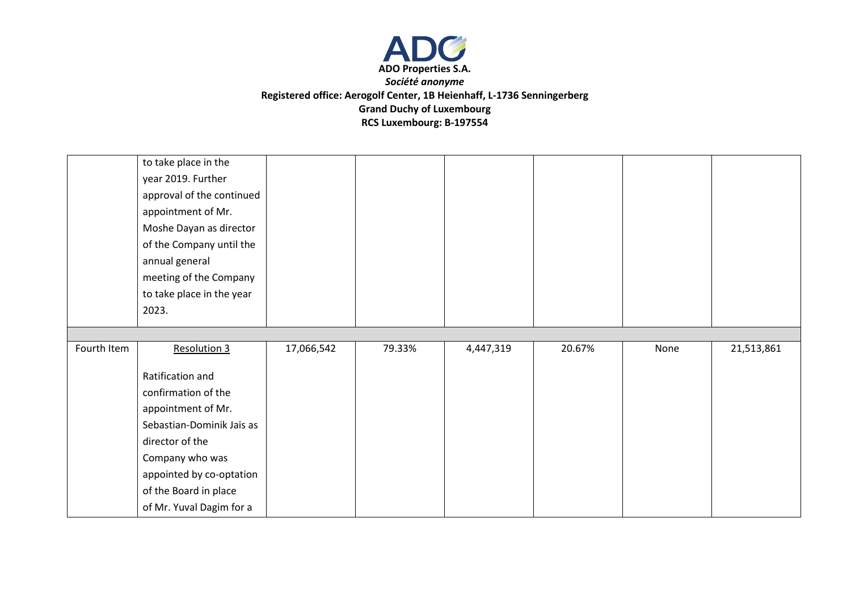

|             | to take place in the<br>year 2019. Further        |            |        |           |        |      |            |
|-------------|---------------------------------------------------|------------|--------|-----------|--------|------|------------|
|             | approval of the continued<br>appointment of Mr.   |            |        |           |        |      |            |
|             | Moshe Dayan as director                           |            |        |           |        |      |            |
|             | of the Company until the                          |            |        |           |        |      |            |
|             | annual general                                    |            |        |           |        |      |            |
|             | meeting of the Company                            |            |        |           |        |      |            |
|             | to take place in the year                         |            |        |           |        |      |            |
|             | 2023.                                             |            |        |           |        |      |            |
|             |                                                   |            |        |           |        |      |            |
|             |                                                   |            |        |           |        |      |            |
| Fourth Item | <b>Resolution 3</b>                               | 17,066,542 | 79.33% | 4,447,319 | 20.67% | None | 21,513,861 |
|             | Ratification and                                  |            |        |           |        |      |            |
|             | confirmation of the                               |            |        |           |        |      |            |
|             | appointment of Mr.                                |            |        |           |        |      |            |
|             | Sebastian-Dominik Jais as                         |            |        |           |        |      |            |
|             | director of the                                   |            |        |           |        |      |            |
|             | Company who was                                   |            |        |           |        |      |            |
|             | appointed by co-optation                          |            |        |           |        |      |            |
|             | of the Board in place<br>of Mr. Yuval Dagim for a |            |        |           |        |      |            |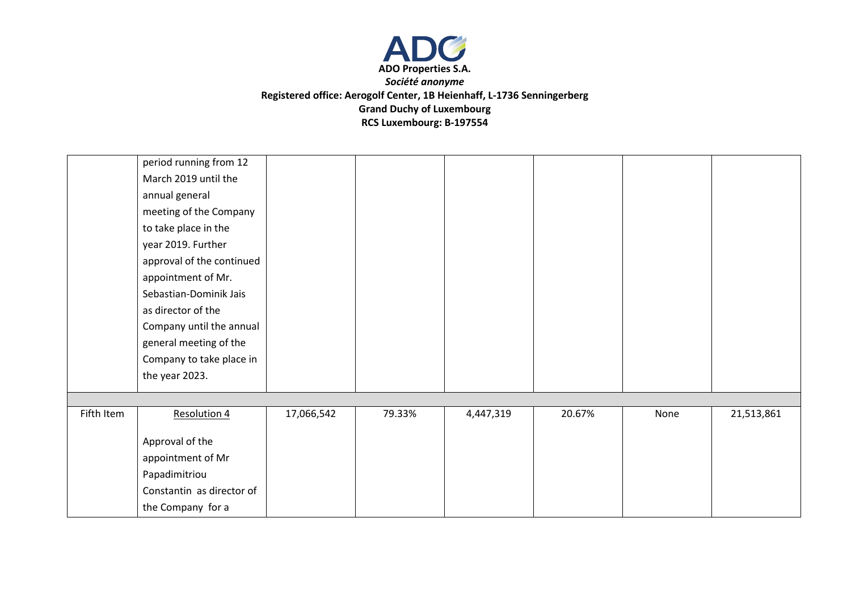

|            | period running from 12    |            |        |           |        |      |            |
|------------|---------------------------|------------|--------|-----------|--------|------|------------|
|            | March 2019 until the      |            |        |           |        |      |            |
|            | annual general            |            |        |           |        |      |            |
|            | meeting of the Company    |            |        |           |        |      |            |
|            | to take place in the      |            |        |           |        |      |            |
|            | year 2019. Further        |            |        |           |        |      |            |
|            | approval of the continued |            |        |           |        |      |            |
|            | appointment of Mr.        |            |        |           |        |      |            |
|            | Sebastian-Dominik Jais    |            |        |           |        |      |            |
|            | as director of the        |            |        |           |        |      |            |
|            | Company until the annual  |            |        |           |        |      |            |
|            | general meeting of the    |            |        |           |        |      |            |
|            | Company to take place in  |            |        |           |        |      |            |
|            | the year 2023.            |            |        |           |        |      |            |
|            |                           |            |        |           |        |      |            |
| Fifth Item | <b>Resolution 4</b>       | 17,066,542 | 79.33% | 4,447,319 | 20.67% | None | 21,513,861 |
|            |                           |            |        |           |        |      |            |
|            | Approval of the           |            |        |           |        |      |            |
|            | appointment of Mr         |            |        |           |        |      |            |
|            | Papadimitriou             |            |        |           |        |      |            |
|            | Constantin as director of |            |        |           |        |      |            |
|            | the Company for a         |            |        |           |        |      |            |